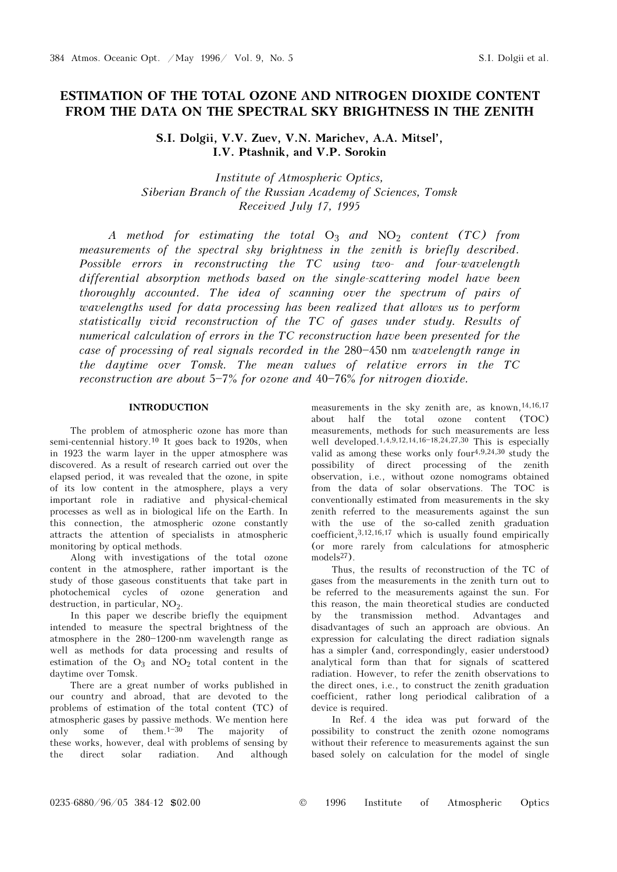# ESTIMATION OF THE TOTAL OZONE AND NITROGEN DIOXIDE CONTENT FROM THE DATA ON THE SPECTRAL SKY BRIGHTNESS IN THE ZENITH

S.I. Dolgii, V.V. Zuev, V.N. Marichev, A.A. Mitsel', I.V. Ptashnik, and V.P. Sorokin

Institute of Atmospheric Optics, Siberian Branch of the Russian Academy of Sciences, Tomsk Received July 17, 1995

A method for estimating the total  $O_3$  and  $NO_2$  content (TC) from measurements of the spectral sky brightness in the zenith is briefly described. Possible errors in reconstructing the TC using two- and four-wavelength differential absorption methods based on the single-scattering model have been thoroughly accounted. The idea of scanning over the spectrum of pairs of wavelengths used for data processing has been realized that allows us to perform statistically vivid reconstruction of the TC of gases under study. Results of numerical calculation of errors in the TC reconstruction have been presented for the case of processing of real signals recorded in the  $280 - 450$  nm wavelength range in the daytime over Tomsk. The mean values of relative errors in the TC reconstruction are about  $5-7\%$  for ozone and  $40-76\%$  for nitrogen dioxide.

# INTRODUCTION

The problem of atmospheric ozone has more than semi-centennial history.10 It goes back to 1920s, when in 1923 the warm layer in the upper atmosphere was discovered. As a result of research carried out over the elapsed period, it was revealed that the ozone, in spite of its low content in the atmosphere, plays a very important role in radiative and physical-chemical processes as well as in biological life on the Earth. In this connection, the atmospheric ozone constantly attracts the attention of specialists in atmospheric monitoring by optical methods.

Along with investigations of the total ozone content in the atmosphere, rather important is the study of those gaseous constituents that take part in photochemical cycles of ozone generation and destruction, in particular,  $NO<sub>2</sub>$ .<br>In this paper we describe

In this paper we describe briefly the equipment intended to measure the spectral brightness of the atmosphere in the  $280-1200$ -nm wavelength range as well as methods for data processing and results of estimation of the  $O_3$  and  $NO_2$  total content in the daytime over  $Tomsk$ daytime over Tomsk.

There are a great number of works published in our country and abroad, that are devoted to the problems of estimation of the total content (TC) of atmospheric gases by passive methods. We mention here only some of them.<sup>1-30</sup> The majority of these works, however, deal with problems of sensing by the direct solar radiation. And although

measurements in the sky zenith are, as known,<sup>14,16,17</sup><br>about half the total ozone content (TOC) half the total ozone content (TOC) measurements, methods for such measurements are less well developed.<sup>1,4,9,12,14,16-18,24,27,30</sup> This is especially valid as among these works only four4,9,24,30 study the possibility of direct processing of the zenith observation, i.e., without ozone nomograms obtained from the data of solar observations. The TOC is conventionally estimated from measurements in the sky zenith referred to the measurements against the sun with the use of the so-called zenith graduation coefficient,  $3,12,16,17$  which is usually found empirically (or more rarely from calculations for atmospheric  $models<sup>27</sup>$ ).

Thus, the results of reconstruction of the TC of gases from the measurements in the zenith turn out to be referred to the measurements against the sun. For this reason, the main theoretical studies are conducted by the transmission method. Advantages and disadvantages of such an approach are obvious. An expression for calculating the direct radiation signals has a simpler (and, correspondingly, easier understood) analytical form than that for signals of scattered radiation. However, to refer the zenith observations to the direct ones, i.e., to construct the zenith graduation coefficient, rather long periodical calibration of a device is required.

In Ref. 4 the idea was put forward of the possibility to construct the zenith ozone nomograms without their reference to measurements against the sun based solely on calculation for the model of single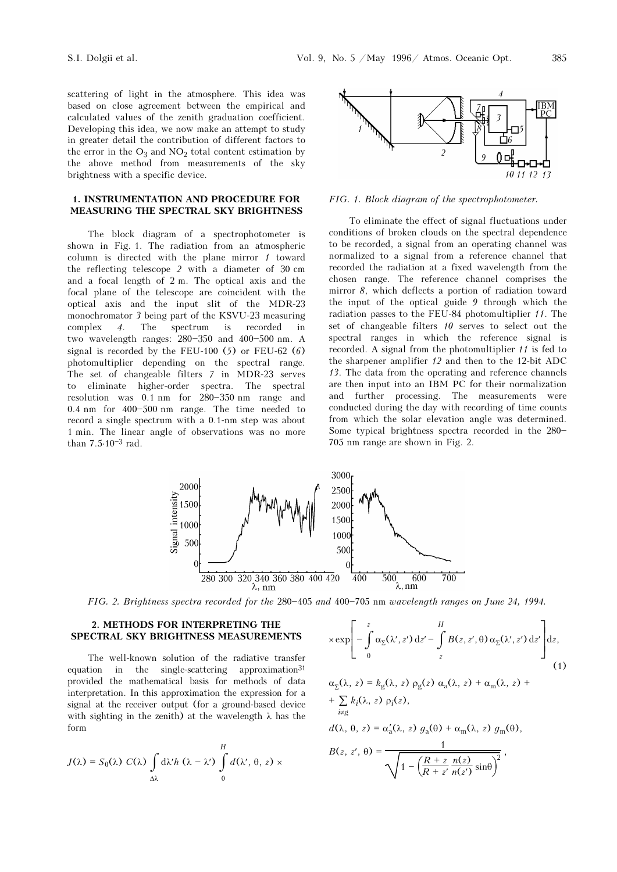scattering of light in the atmosphere. This idea was based on close agreement between the empirical and calculated values of the zenith graduation coefficient. Developing this idea, we now make an attempt to study in greater detail the contribution of different factors to the error in the  $O_3$  and  $NO_2$  total content estimation by<br>the above method from measurements of the sky the above method from measurements of the sky brightness with a specific device.

# 1. INSTRUMENTATION AND PROCEDURE FOR MEASURING THE SPECTRAL SKY BRIGHTNESS

The block diagram of a spectrophotometer is shown in Fig. 1. The radiation from an atmospheric column is directed with the plane mirror  $1$  toward the reflecting telescope 2 with a diameter of 30 cm and a focal length of 2 m. The optical axis and the focal plane of the telescope are coincident with the optical axis and the input slit of the MDR-23 monochromator 3 being part of the KSVU-23 measuring complex 4. The spectrum is recorded in two wavelength ranges:  $280-350$  and  $400-500$  nm. A signal is recorded by the FEU-100  $(5)$  or FEU-62  $(6)$ photomultiplier depending on the spectral range. The set of changeable filters 7 in MDR-23 serves to eliminate higher-order spectra. The spectral resolution was  $0.1$  nm for  $280-350$  nm range and  $0.4$  nm for  $400 - 500$  nm range. The time needed to record a single spectrum with a 0.1-nm step was about 1 min. The linear angle of observations was no more than  $7.5 \cdot 10^{-3}$  rad.



FIG. 1. Block diagram of the spectrophotometer.

To eliminate the effect of signal fluctuations under conditions of broken clouds on the spectral dependence to be recorded, a signal from an operating channel was normalized to a signal from a reference channel that recorded the radiation at a fixed wavelength from the chosen range. The reference channel comprises the mirror 8, which deflects a portion of radiation toward the input of the optical guide 9 through which the radiation passes to the FEU-84 photomultiplier 11. The set of changeable filters 10 serves to select out the spectral ranges in which the reference signal is recorded. A signal from the photomultiplier 11 is fed to the sharpener amplifier 12 and then to the 12-bit ADC 13. The data from the operating and reference channels are then input into an IBM PC for their normalization and further processing. The measurements were conducted during the day with recording of time counts from which the solar elevation angle was determined. Some typical brightness spectra recorded in the 280-705 nm range are shown in Fig. 2.



FIG. 2. Brightness spectra recorded for the 280-405 and 400-705 nm wavelength ranges on June 24, 1994.

## 2. METHODS FOR INTERPRETING THE SPECTRAL SKY BRIGHTNESS MEASUREMENTS

The well-known solution of the radiative transfer equation in the single-scattering approximation<sup>31</sup> provided the mathematical basis for methods of data interpretation. In this approximation the expression for a signal at the receiver output (for a ground-based device with sighting in the zenith) at the wavelength  $\lambda$  has the form

$$
J(\lambda) = S_0(\lambda) C(\lambda) \int_{\Delta \lambda} d\lambda' h (\lambda - \lambda') \int_0^H d(\lambda', \theta, z) \times
$$

$$
\times \exp\left[-\int\limits_{0}^{z}\alpha_{\Sigma}(\lambda',z')\,\mathrm{d}z' - \int\limits_{z}^{H}B(z,z',\theta)\,\alpha_{\Sigma}(\lambda',z')\,\mathrm{d}z'\right]\mathrm{d}z,\tag{1}
$$

$$
\alpha_{\Sigma}(\lambda, z) = k_{g}(\lambda, z) \rho_{g}(z) \alpha_{a}(\lambda, z) + \alpha_{m}(\lambda, z) +
$$
  
+ 
$$
\sum_{i \neq g} k_{i}(\lambda, z) \rho_{i}(z),
$$
  

$$
d(\lambda, \theta, z) = \alpha'_{a}(\lambda, z) g_{a}(\theta) + \alpha_{m}(\lambda, z) g_{m}(\theta),
$$
  

$$
B(z, z', \theta) = \frac{1}{\sqrt{1 - (\frac{R + z}{R + z'} \frac{n(z)}{n(z')}\sin\theta)^2}},
$$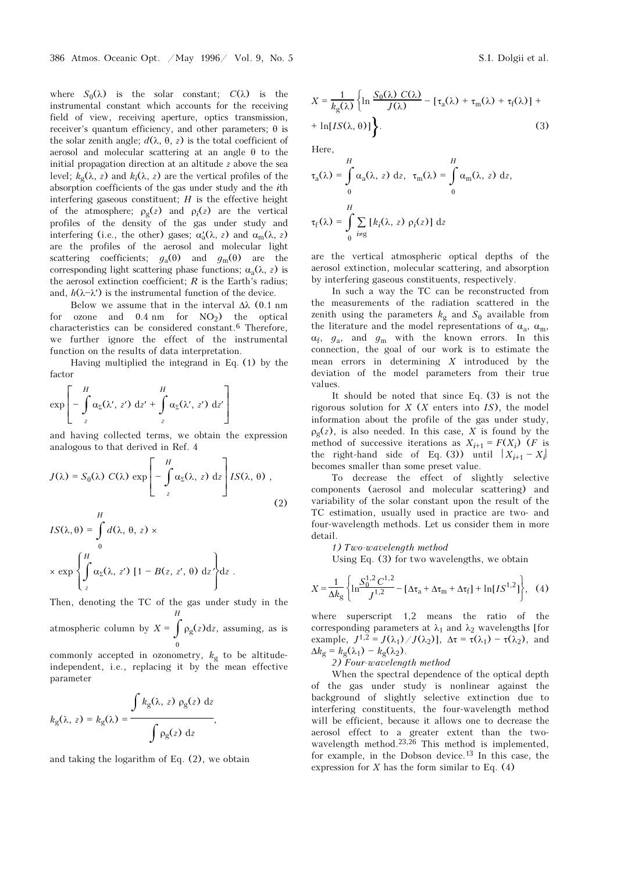where  $S_0(\lambda)$  is the solar constant;  $C(\lambda)$  is the instrumental constant which accounts for the receiving field of view, receiving aperture, optics transmission, receiver's quantum efficiency, and other parameters; θ is the solar zenith angle;  $d(\lambda, \theta, z)$  is the total coefficient of aerosol and molecular scattering at an angle θ to the initial propagation direction at an altitude z above the sea level;  $k<sub>σ</sub>(\lambda, z)$  and  $k<sub>i</sub>(\lambda, z)$  are the vertical profiles of the absorption coefficients of the gas under study and the ith interfering gaseous constituent;  $H$  is the effective height of the atmosphere;  $\rho_g(z)$  and  $\rho_i(z)$  are the vertical<br>profiles of the dopsity of the gas under study and profiles of the density of the gas under study and interfering (i.e., the other) gases;  $\alpha'_{\rm a}(\lambda, z)$  and  $\alpha_{\rm m}(\lambda, z)$ <br>are the profiles of the agrosol and molecular light a are the profiles of the aerosol and molecular light scattering coefficients;  $q_a(\theta)$  and  $q_m(\theta)$  are the corresponding light scattering phase functions;  $\alpha_a(\lambda, z)$  is<br>the acrosol extinction coefficient;  $P$  is the Earth's radius; the aerosol extinction coefficient;  $R$  is the Earth's radius; and,  $h(\lambda - \lambda')$  is the instrumental function of the device.

Below we assume that in the interval  $\Delta\lambda$  (0.1 nm) for ozone and  $0.4 \text{ nm}$  for  $NO_2$ ) the optical<br>characteristics can be considered constant 6 Therefore characteristics can be considered constant.6 Therefore, we further ignore the effect of the instrumental function on the results of data interpretation.

Having multiplied the integrand in Eq. (1) by the factor

$$
\exp\left[-\int\limits_{z}^{H}\alpha_{\Sigma}(\lambda', z')\ dz' + \int\limits_{z}^{H}\alpha_{\Sigma}(\lambda', z')\ dz'\right]
$$

and having collected terms, we obtain the expression analogous to that derived in Ref. 4

$$
J(\lambda) = S_0(\lambda) C(\lambda) \exp \left[ - \int_{z}^{H} \alpha_{\Sigma}(\lambda, z) dz \right] I S(\lambda, \theta) , \qquad (2)
$$

$$
IS(\lambda, \theta) = \int_{0}^{H} d(\lambda, \theta, z) \times
$$
  
 
$$
\times \exp \left\{ \int_{z}^{H} \alpha_{\Sigma}(\lambda, z') \left[ 1 - B(z, z', \theta) \right] dz' \right\} dz.
$$

Then, denoting the TC of the gas under study in the H

atmospheric column by  $X = \int \rho_g(z) dz$ , assuming, as is

commonly accepted in ozonometry,  $k_g$  to be altitude-<br>independent i.e. replacing it by the mean effective independent, i.e., replacing it by the mean effective parameter

$$
k_{\rm g}(\lambda, z) = k_{\rm g}(\lambda) = \frac{\int k_{\rm g}(\lambda, z) \rho_{\rm g}(z) dz}{\int \rho_{\rm g}(z) dz},
$$

and taking the logarithm of Eq. (2), we obtain

$$
X = \frac{1}{k_g(\lambda)} \left\{ \ln \frac{S_0(\lambda) C(\lambda)}{J(\lambda)} - \left[ \tau_a(\lambda) + \tau_m(\lambda) + \tau_f(\lambda) \right] + \ln[IS(\lambda, \theta)] \right\}.
$$
 (3)

Here,

$$
\tau_{a}(\lambda) = \int_{0}^{H} \alpha_{a}(\lambda, z) dz, \ \tau_{m}(\lambda) = \int_{0}^{H} \alpha_{m}(\lambda, z) dz,
$$

$$
\tau_{f}(\lambda) = \int_{0}^{H} \sum_{i \neq g} [k_{i}(\lambda, z) \rho_{i}(z)] dz
$$

are the vertical atmospheric optical depths of the aerosol extinction, molecular scattering, and absorption by interfering gaseous constituents, respectively.

In such a way the TC can be reconstructed from the measurements of the radiation scattered in the zenith using the parameters  $k_g$  and  $S_0$  available from the literature and the model representations of  $\alpha_a$ ,  $\alpha_m$ ,  $\alpha_b$ ,  $\alpha_b$ ,  $\alpha_b$ ,  $\alpha_b$ ,  $\alpha_b$ ,  $\alpha_b$ ,  $\alpha_b$ ,  $\alpha_b$ ,  $\alpha_b$ ,  $\alpha_b$ ,  $\alpha_b$ ,  $\alpha_b$ ,  $\alpha_b$ ,  $\alpha_b$ ,  $\alpha_b$ ,  $\alpha_b$ ,  $\alpha_b$ ,  $\alpha_b$ ,  $\alpha_b$ ,  $\alpha_c$ ,  $\alpha_c$ ,  $\alpha_c$ ,  $\alpha_c$  $\alpha_f$ ,  $g_a$ , and  $g_m$  with the known errors. In this connection, the goal of our work is to estimate the mean errors in determining  $X$  introduced by the deviation of the model parameters from their true values.

It should be noted that since Eq. (3) is not the rigorous solution for  $X$  ( $X$  enters into  $IS$ ), the model information about the profile of the gas under study,  $\rho_g(z)$ , is also needed. In this case, X is found by the method of successive iterations as  $X_t = F(X_t)$  (F is method of successive iterations as  $X_{i+1} = F(X_i)$  (*F* is the right-hand side of Eq. (3)) until  $|X_{i+1} - X_i|$ becomes smaller than some preset value.

To decrease the effect of slightly selective components (aerosol and molecular scattering) and variability of the solar constant upon the result of the TC estimation, usually used in practice are two- and four-wavelength methods. Let us consider them in more detail.

1) Two-wavelength method

Using Eq. (3) for two wavelengths, we obtain

$$
X = \frac{1}{\Delta k_{\rm g}} \left\{ \ln \frac{S_0^{1,2} C^{1,2}}{J^{1,2}} - [\Delta \tau_{\rm a} + \Delta \tau_{\rm m} + \Delta \tau_{\rm f}] + \ln[IS^{1,2}] \right\}, \quad (4)
$$

where superscript 1,2 means the ratio of the corresponding parameters at  $\lambda_1$  and  $\lambda_2$  wavelengths [for<br>example  $I_{1,2} = I(\lambda_1) / I(\lambda_2)$ ]  $\lambda_2 = \tau(\lambda_1) - \tau(\lambda_2)$  and example,  $J^{1,2} = J(\lambda_1)/J(\lambda_2)$ ],  $\Delta \tau = \tau(\lambda_1) - \tau(\lambda_2)$ , and  $\Delta k_{\rm g} = k_{\rm g}(\lambda_1) - k_{\rm g}(\lambda_2).$ 

2) Four-wavelength method

When the spectral dependence of the optical depth of the gas under study is nonlinear against the background of slightly selective extinction due to interfering constituents, the four-wavelength method will be efficient, because it allows one to decrease the aerosol effect to a greater extent than the twowavelength method.23,26 This method is implemented, for example, in the Dobson device.13 In this case, the expression for X has the form similar to Eq.  $(4)$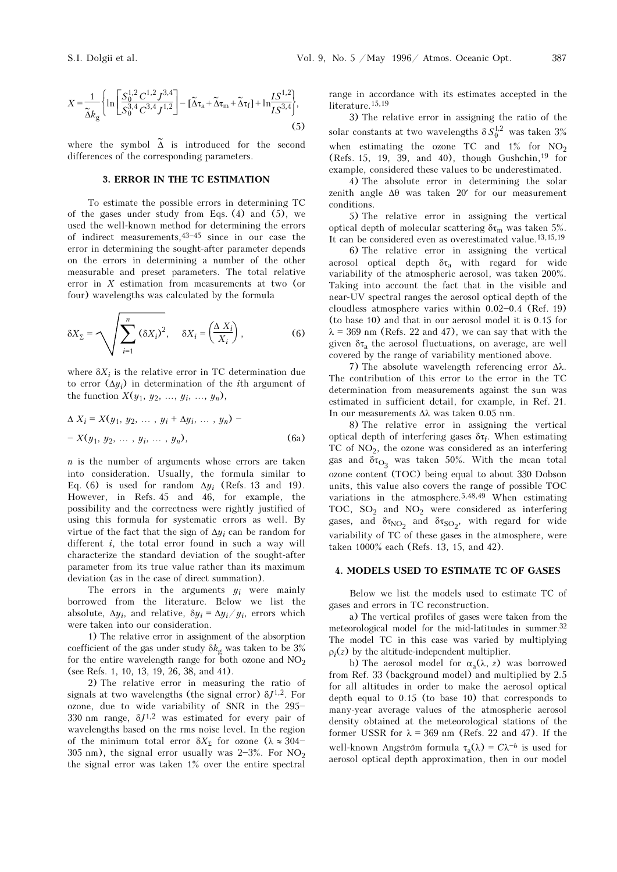$$
X = \frac{1}{\tilde{\Delta}k_{g}} \left\{ \ln \left[ \frac{S_{0}^{1,2} C^{1,2} J^{3,4}}{S_{0}^{3,4} C^{3,4} J^{1,2}} \right] - \left[ \tilde{\Delta} \tau_{a} + \tilde{\Delta} \tau_{m} + \tilde{\Delta} \tau_{f} \right] + \ln \frac{IS^{1,2}}{IS^{3,4}} \right\},\tag{5}
$$

where the symbol  $\tilde{\Delta}$  is introduced for the second differences of the corresponding parameters.

# 3. ERROR IN THE TC ESTIMATION

To estimate the possible errors in determining TC of the gases under study from Eqs.  $(4)$  and  $(5)$ , we used the well-known method for determining the errors of indirect measurements,  $43-45$  since in our case the error in determining the sought-after parameter depends on the errors in determining a number of the other measurable and preset parameters. The total relative error in X estimation from measurements at two (or four) wavelengths was calculated by the formula

$$
\delta X_{\Sigma} = \sqrt{\sum_{i=1}^{n} (\delta X_i)^2}, \quad \delta X_i = \left(\frac{\Delta X_i}{X_i}\right), \tag{6}
$$

where  $\delta X_i$  is the relative error in TC determination due to error  $(\Delta y_i)$  in determination of the *i*th argument of the function  $X(y_1, y_2, ..., y_i, ..., y_n)$ ,

$$
\Delta X_i = X(y_1, y_2, ..., y_i + \Delta y_i, ..., y_n) - X(y_1, y_2, ..., y_i, ..., y_n),
$$
\n(6a)

 $n$  is the number of arguments whose errors are taken into consideration. Usually, the formula similar to Eq. (6) is used for random  $\Delta y_i$  (Refs. 13 and 19). However, in Refs. 45 and 46, for example, the possibility and the correctness were rightly justified of using this formula for systematic errors as well. By virtue of the fact that the sign of  $\Delta y_i$  can be random for different  $i$ , the total error found in such a way will characterize the standard deviation of the sought-after parameter from its true value rather than its maximum deviation (as in the case of direct summation).

The errors in the arguments  $y_i$  were mainly borrowed from the literature. Below we list the absolute,  $\Delta y_i$ , and relative,  $\delta y_i = \Delta y_i / y_i$ , errors which were taken into our consideration.

1) The relative error in assignment of the absorption coefficient of the gas under study  $\delta k_{\rm g}$  was taken to be 3% for the entire wavelength range for both ozone and  $NO<sub>2</sub>$ (see Refs. 1, 10, 13, 19, 26, 38, and 41).

2) The relative error in measuring the ratio of signals at two wavelengths (the signal error)  $\delta J^{1,2}$ . For ozone, due to wide variability of SNR in the  $295-$ 330 nm range,  $\delta J^{1,2}$  was estimated for every pair of wavelengths based on the rms noise level. In the region of the minimum total error  $\delta X_{\Sigma}$  for ozone  $(\lambda \approx 304$ -305 nm), the signal error usually was  $2-3\%$ . For NO<sub>2</sub> 2 the signal error was taken 1% over the entire spectral range in accordance with its estimates accepted in the literature.15,19

3) The relative error in assigning the ratio of the solar constants at two wavelengths  $\delta S_0^{1,2}$  was taken 3% when estimating the ozone TC and  $1\%$  for  $NO<sub>2</sub>$ 2 (Refs. 15, 19, 39, and 40), though Gushchin,19 for example, considered these values to be underestimated.

4) The absolute error in determining the solar zenith angle Δθ was taken 20′ for our measurement conditions.

5) The relative error in assigning the vertical optical depth of molecular scattering  $δτ<sub>m</sub>$  was taken 5%.<br>It can be considered avon as averation tod value  $13.15.19$ It can be considered even as overestimated value.13,15,19

6) The relative error in assigning the vertical aerosol optical depth  $\delta\tau_a$  with regard for wide<br>variability of the atmospheric aerosol was taken 200% variability of the atmospheric aerosol, was taken 200%. Taking into account the fact that in the visible and near-UV spectral ranges the aerosol optical depth of the cloudless atmosphere varies within  $0.02 - 0.4$  (Ref. 19) (to base 10) and that in our aerosol model it is 0.15 for  $\lambda$  = 369 nm (Refs. 22 and 47), we can say that with the given  $\delta \tau_a$  the aerosol fluctuations, on average, are well<br>covered by the range of variability mentioned above covered by the range of variability mentioned above.

7) The absolute wavelength referencing error Δλ. The contribution of this error to the error in the TC determination from measurements against the sun was estimated in sufficient detail, for example, in Ref. 21. In our measurements Δλ was taken 0.05 nm.

8) The relative error in assigning the vertical optical depth of interfering gases  $\delta \tau_f$ . When estimating TC of NO<sub>2</sub> the ozone was considered as an interfering TC of  $NO_2$ , the ozone was considered as an interfering<br>gas and  $\delta \tau_2$ , was taken  $50\%$ . With the mean total gas and  $\delta \tau_{\text{O}_2}$  was taken 50%. With the mean total O3 ozone content (TOC) being equal to about 330 Dobson units, this value also covers the range of possible TOC variations in the atmosphere.5,48,49 When estimating TOC, SO<sub>2</sub> and NO<sub>2</sub> were considered as interfering gases, and  $\delta \tau_{\text{NO}_2}$  and  $\delta \tau_{\text{SO}_2}$ , with regard for wide variability of TC of these gases in the atmosphere, were taken 1000% each (Refs. 13, 15, and 42).

#### 4. MODELS USED TO ESTIMATE TC OF GASES

Below we list the models used to estimate TC of gases and errors in TC reconstruction.

a) The vertical profiles of gases were taken from the meteorological model for the mid-latitudes in summer.32 The model TC in this case was varied by multiplying  $\rho_i(z)$  by the altitude-independent multiplier.

b) The aerosol model for  $\alpha_a(\lambda, z)$  was borrowed<br>Ref. 33 (background model) and multiplied by 2.5 from Ref. 33 (background model) and multiplied by 2.5 for all altitudes in order to make the aerosol optical depth equal to 0.15 (to base 10) that corresponds to many-year average values of the atmospheric aerosol density obtained at the meteorological stations of the former USSR for  $\lambda = 369$  nm (Refs. 22 and 47). If the well-known Angström formula  $\tau_a(\lambda) = C\lambda^{-b}$  is used for<br>aerosol optical depth approximation, then in our model aerosol optical depth approximation, then in our model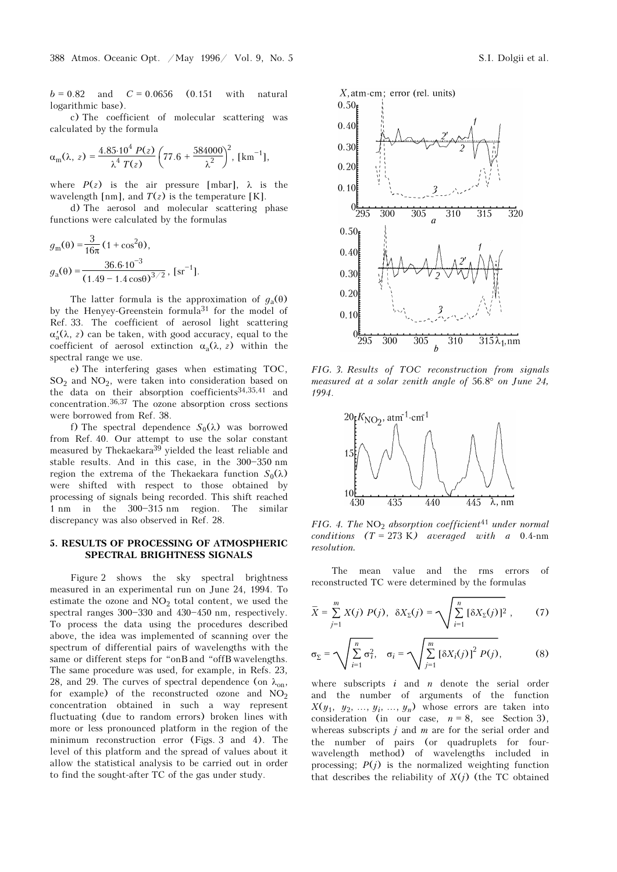$b = 0.82$  and  $C = 0.0656$  (0.151 with natural logarithmic base).

c) The coefficient of molecular scattering was calculated by the formula

$$
\alpha_{\rm m}(\lambda, z) = \frac{4.85 \cdot 10^4 \, P(z)}{\lambda^4 \, T(z)} \left( 77.6 + \frac{584000}{\lambda^2} \right)^2, \, [\text{km}^{-1}],
$$

where  $P(z)$  is the air pressure [mbar],  $\lambda$  is the wavelength [nm], and  $T(z)$  is the temperature [K].

d) The aerosol and molecular scattering phase functions were calculated by the formulas

$$
g_{\rm m}(\theta) = \frac{3}{16\pi} (1 + \cos^{2}\theta),
$$
  
\n
$$
g_{\rm a}(\theta) = \frac{36.6 \cdot 10^{-3}}{(1.49 - 1.4 \cos\theta)^{3/2}}, \,\mathrm{[sr^{-1}]}.
$$

The latter formula is the approximation of  $g_a(\theta)$ by the Henyey-Greenstein formula31 for the model of Ref. 33. The coefficient of aerosol light scattering  $\alpha'_{a}(\lambda, z)$  can be taken, with good accuracy, equal to the coefficient of aerosol extinction  $\alpha_a(\lambda, z)$  within the spectral range we use.

e) The interfering gases when estimating TOC,  $SO_2$  and  $NO_2$ , were taken into consideration based on the data on their absorption coefficients<sup>34,35,41</sup> and the data on their absorption coefficients $34,35,41$  and concentration.36,37 The ozone absorption cross sections were borrowed from Ref. 38.

f) The spectral dependence  $S_0(\lambda)$  was borrowed from Ref. 40. Our attempt to use the solar constant measured by Thekaekara39 yielded the least reliable and stable results. And in this case, in the  $300-350$  nm region the extrema of the Thekaekara function  $S_0(\lambda)$ were shifted with respect to those obtained by processing of signals being recorded. This shift reached  $1 \text{ nm}$  in the  $300-315 \text{ nm}$  region. The similar discrepancy was also observed in Ref. 28.

## 5. RESULTS OF PROCESSING OF ATMOSPHERIC SPECTRAL BRIGHTNESS SIGNALS

Figure 2 shows the sky spectral brightness measured in an experimental run on June 24, 1994. To estimate the ozone and  $NO<sub>2</sub>$  total content, we used the spectral ranges  $300-330$  and  $430-450$  nm, respectively spectral ranges  $300-330$  and  $430-450$  nm, respectively. To process the data using the procedures described above, the idea was implemented of scanning over the spectrum of differential pairs of wavelengths with the same or different steps for "onB and "offB wavelengths. The same procedure was used, for example, in Refs. 23, 28, and 29. The curves of spectral dependence (on  $\lambda_{\text{on}}$ , for example) of the reconstructed example. for example) of the reconstructed ozone and  $NO<sub>2</sub>$ 2 concentration obtained in such a way represent fluctuating (due to random errors) broken lines with more or less pronounced platform in the region of the minimum reconstruction error (Figs. 3 and 4). The level of this platform and the spread of values about it allow the statistical analysis to be carried out in order to find the sought-after TC of the gas under study.





FIG. 3. Results of TOC reconstruction from signals measured at a solar zenith angle of 56.8° on June 24, 1994.



FIG. 4. The  $NO<sub>2</sub>$  absorption coefficient<sup>41</sup> under normal conditions  $(T = 273 \text{ K})$  averaged with a 0.4-nm resolution.

The mean value and the rms errors of reconstructed TC were determined by the formulas

$$
\bar{X} = \sum_{j=1}^{m} X(j) P(j), \ \delta X_{\Sigma}(j) = \sqrt{\sum_{i=1}^{n} [\delta X_{\Sigma}(j)]^{2}}, \qquad (7)
$$

$$
\sigma_{\Sigma} = \sqrt{\sum_{i=1}^{n} \sigma_i^2}, \quad \sigma_i = \sqrt{\sum_{j=1}^{m} [\delta X_i(j)]^2 P(j)},
$$
 (8)

where subscripts  $i$  and  $n$  denote the serial order and the number of arguments of the function  $X(y_1, y_2, ..., y_i, ..., y_n)$  whose errors are taken into consideration (in our case,  $n = 8$ , see Section 3), whereas subscripts  $j$  and  $m$  are for the serial order and the number of pairs (or quadruplets for fourwavelength method) of wavelengths included in processing;  $P(j)$  is the normalized weighting function that describes the reliability of  $X(j)$  (the TC obtained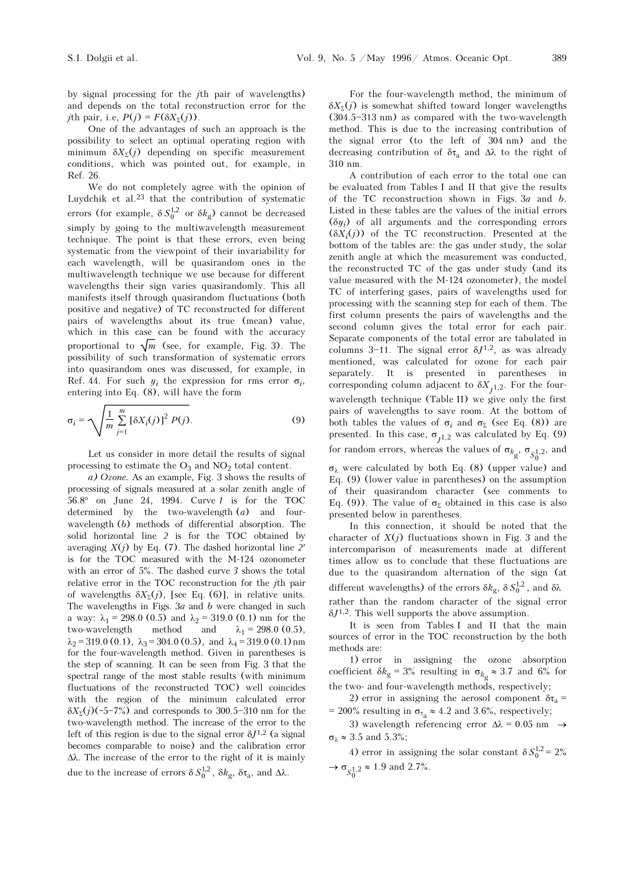by signal processing for the jth pair of wavelengths) and depends on the total reconstruction error for the *j*th pair, i.e,  $P(j) = F(\delta X_{\Sigma}(j)).$ 

One of the advantages of such an approach is the possibility to select an optimal operating region with minimum  $\delta X_{\Sigma}(j)$  depending on specific measurement conditions, which was pointed out, for example, in Ref. 26.

We do not completely agree with the opinion of Luydchik et al.23 that the contribution of systematic errors (for example,  $\delta S_0^{1,2}$  or  $\delta k_g$ ) cannot be decreased simply by going to the multiwavelength measurement technique. The point is that these errors, even being systematic from the viewpoint of their invariability for each wavelength, will be quasirandom ones in the multiwavelength technique we use because for different wavelengths their sign varies quasirandomly. This all manifests itself through quasirandom fluctuations (both positive and negative) of TC reconstructed for different pairs of wavelengths about its true (mean) value, which in this case can be found with the accuracy proportional to  $\sqrt{m}$  (see, for example, Fig. 3). The possibility of such transformation of systematic errors into quasirandom ones was discussed, for example, in Ref. 44. For such  $y_i$  the expression for rms error  $\sigma_i$ , entering into Eq. (8), will have the form

$$
\sigma_i = \sqrt{\frac{1}{m} \sum_{j=1}^{m} \left[ \delta X_i(j) \right]^2 P(j)}.
$$
 (9)

Let us consider in more detail the results of signal processing to estimate the  $O_3$  and  $NO_2$  total content.<br>
(a)  $Ozone$  As an example. Fig. 3 shows the results

a) Ozone. As an example, Fig. 3 shows the results of processing of signals measured at a solar zenith angle of 56.8° on June 24, 1994. Curve 1 is for the TOC determined by the two-wavelength  $(a)$  and fourwavelength (b) methods of differential absorption. The solid horizontal line 2 is for the TOC obtained by averaging  $X(j)$  by Eq. (7). The dashed horizontal line 2<sup>*'*</sup> is for the TOC measured with the M-124 ozonometer with an error of 5%. The dashed curve 3 shows the total relative error in the TOC reconstruction for the jth pair of wavelengths  $\delta X_{\Sigma}(j)$ , [see Eq. (6)], in relative units. The wavelengths in Figs.  $3a$  and b were changed in such a way:  $\lambda_1 = 298.0$  (0.5) and  $\lambda_2 = 319.0$  (0.1) nm for the<br>two wavelength method and  $\lambda_1 = 298.0$  (0.5) two-wavelength method and  $\lambda_1 = 298.0$  (0.5),  $\lambda_2 = 319.0$  (0.1),  $\lambda_3 = 304.0$  (0.5), and  $\lambda_4 = 319.0$  (0.1) nm<br>for the four-wavelength method. Given in parentheses is for the four-wavelength method. Given in parentheses is the step of scanning. It can be seen from Fig. 3 that the spectral range of the most stable results (with minimum fluctuations of the reconstructed TOC) well coincides with the region of the minimum calculated error  $\delta X_{\rm y}(i)$ (~5-7%) and corresponds to 300.5-310 nm for the two-wavelength method. The increase of the error to the left of this region is due to the signal error  $\delta J^{1,2}$  (a signal becomes comparable to noise) and the calibration error Δλ. The increase of the error to the right of it is mainly due to the increase of errors  $\delta S_0^{1,2}$ ,  $\delta k_g$ ,  $\delta \tau_a$ , and  $\Delta \lambda$ .

For the four-wavelength method, the minimum of  $\delta X_{\Sigma}(i)$  is somewhat shifted toward longer wavelengths  $(304.5 - 313 \text{ nm})$  as compared with the two-wavelength method. This is due to the increasing contribution of the signal error (to the left of 304 nm) and the decreasing contribution of  $\delta \tau_a$  and  $\Delta \lambda$  to the right of 310 pm 310 nm.

A contribution of each error to the total one can be evaluated from Tables I and II that give the results of the TC reconstruction shown in Figs.  $3a$  and  $b$ . Listed in these tables are the values of the initial errors  $(\delta y_i)$  of all arguments and the corresponding errors  $(\delta X_i(j))$  of the TC reconstruction. Presented at the bottom of the tables are: the gas under study, the solar zenith angle at which the measurement was conducted, the reconstructed TC of the gas under study (and its value measured with the M-124 ozonometer), the model TC of interfering gases, pairs of wavelengths used for processing with the scanning step for each of them. The first column presents the pairs of wavelengths and the second column gives the total error for each pair. Separate components of the total error are tabulated in columns 3-11. The signal error  $\delta J^{1,2}$ , as was already mentioned, was calculated for ozone for each pair separately. It is presented in parentheses in corresponding column adjacent to  $\delta X_{1,2}$ . For the fourwavelength technique (Table II) we give only the first pairs of wavelengths to save room. At the bottom of both tables the values of  $\sigma_i$  and  $\sigma_{\Sigma}$  (see Eq. (8)) are presented. In this case,  $\sigma_{1,2}$  was calculated by Eq. (9) for random errors, whereas the values of  $\sigma_{k_{g}}, \sigma_{S_{0}^{1},2}$ , and

 $\sigma_{\lambda}$  were calculated by both Eq. (8) (upper value) and Eq. (9) (lower value in parentheses) on the assumption of their quasirandom character (see comments to Eq. (9)). The value of  $\sigma_{\Sigma}$  obtained in this case is also presented below in parentheses.

In this connection, it should be noted that the character of  $X(i)$  fluctuations shown in Fig. 3 and the intercomparison of measurements made at different times allow us to conclude that these fluctuations are due to the quasirandom alternation of the sign (at different wavelengths) of the errors  $\delta k_{\rm g}$ ,  $\delta S_0^{1,2}$ , and  $\delta \lambda$ rather than the random character of the signal error  $\delta J^{1,2}$ . This well supports the above assumption.

It is seen from Tables I and II that the main sources of error in the TOC reconstruction by the both methods are:

1) error in assigning the ozone absorption coefficient  $\delta k_g = 3\%$  resulting in  $\sigma_{k_g} \approx 3.7$  and  $6\%$  for the two- and four-wavelength methods, respectively;

2) error in assigning the aerosol component  $\delta \tau_a = 0$ <sup>2</sup> respectively. = 200% resulting in  $\sigma_{\tau_a} \approx 4.2$  and 3.6%, respectively;<br>3) wavelength, referencing error  $\Delta \approx 0.05$  pm

3) wavelength referencing error  $\Delta\lambda = 0.05$  nm  $\rightarrow$  $\sigma_{\lambda} \approx 3.5$  and 5.3%;

4) error in assigning the solar constant  $\delta S_0^{1,2} = 2\%$  $\rightarrow \sigma_{S_0^{1,2}} \approx 1.9$  and 2.7%.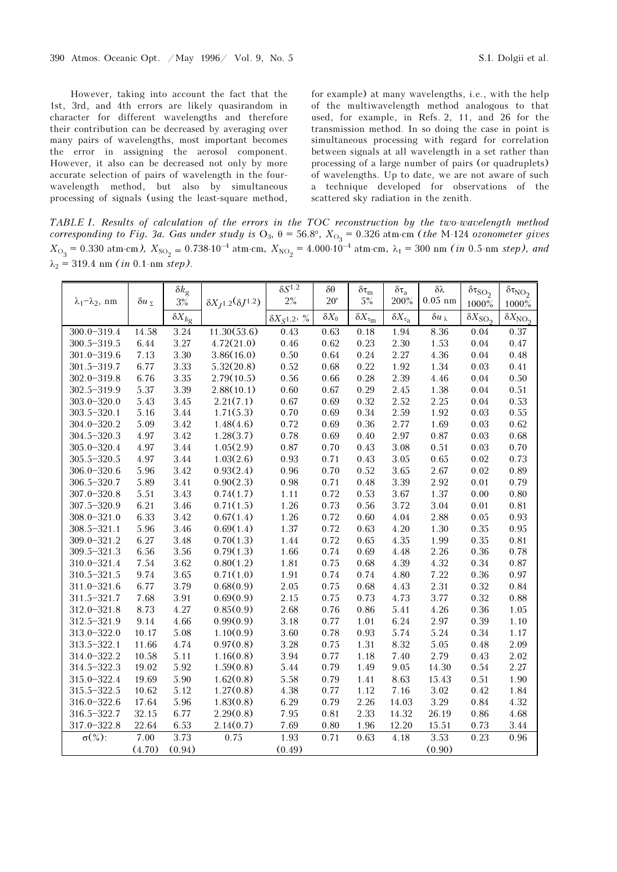However, taking into account the fact that the 1st, 3rd, and 4th errors are likely quasirandom in character for different wavelengths and therefore their contribution can be decreased by averaging over many pairs of wavelengths, most important becomes the error in assigning the aerosol component. However, it also can be decreased not only by more accurate selection of pairs of wavelength in the fourwavelength method, but also by simultaneous processing of signals (using the least-square method, for example) at many wavelengths, i.e., with the help of the multiwavelength method analogous to that used, for example, in Refs. 2, 11, and 26 for the transmission method. In so doing the case in point is simultaneous processing with regard for correlation between signals at all wavelength in a set rather than processing of a large number of pairs (or quadruplets) of wavelengths. Up to date, we are not aware of such a technique developed for observations of the scattered sky radiation in the zenith.

TABLE I. Results of calculation of the errors in the TOC reconstruction by the two-wavelength method corresponding to Fig. 3a. Gas under study is  $\rm O_3$ , θ = 56.8°,  $X_{\rm O_3}$  = 0.326 atm⋅cm (the M-124 ozonometer gives  $X_{\text{O}_3}$  = 0.330 atm⋅cm),  $X_{\text{SO}_2}$  = 0.738⋅10<sup>-4</sup> atm⋅cm,  $X_{\text{NO}_2}$  = 4.000⋅10<sup>-4</sup> atm⋅cm,  $\lambda_1$  = 300 nm (*in* 0.5-nm *step*), and  $\lambda_2 = 319.4$  nm (*in* 0.1-nm step).

|                              |         | $\delta k_{\rm g}$         |                                      | $\delta S^{1.2}$         | $\delta\theta$      | $\delta \tau_m$                              | $\delta\tau_a$                      | $\delta\lambda$      | $\delta\tau_{\rm SO_2}$ | $\delta \tau_{NO_2}$     |
|------------------------------|---------|----------------------------|--------------------------------------|--------------------------|---------------------|----------------------------------------------|-------------------------------------|----------------------|-------------------------|--------------------------|
| $\lambda_1 - \lambda_2$ , nm | δ $u_Σ$ | $3\%$                      | $\delta X_{I^{1.2}}(\delta J^{1.2})$ | 2%                       | 20'                 | $5\%$                                        | 200%                                | $0.05$ nm            | 1000%                   | 1000%                    |
|                              |         | $\overline{\delta X}_{kg}$ |                                      | $\delta X_{S^{1,2}}$ , % | $\delta X_{\theta}$ | $\overline{\delta X}_{\tau_{\underline{m}}}$ | $\overline{\delta}X_{\tau_{\rm a}}$ | $\delta u_{\lambda}$ | $\delta X_{\rm SO_2}$   | $\delta X_{\text{NO}_2}$ |
| $300.0 - 319.4$              | 14.58   | 3.24                       | 11.30(53.6)                          | 0.43                     | 0.63                | 0.18                                         | 1.94                                | 8.36                 | 0.04                    | 0.37                     |
| $300.5 - 319.5$              | 6.44    | 3.27                       | 4.72(21.0)                           | 0.46                     | 0.62                | 0.23                                         | 2.30                                | 1.53                 | $0.04\,$                | 0.47                     |
| $301.0 - 319.6$              | 7.13    | 3.30                       | 3.86(16.0)                           | 0.50                     | 0.64                | 0.24                                         | 2.27                                | 4.36                 | 0.04                    | 0.48                     |
| 301.5-319.7                  | 6.77    | 3.33                       | 5.32(20.8)                           | 0.52                     | 0.68                | 0.22                                         | 1.92                                | 1.34                 | 0.03                    | 0.41                     |
| $302.0 - 319.8$              | 6.76    | 3.35                       | 2.79(10.5)                           | 0.56                     | 0.66                | 0.28                                         | 2.39                                | 4.46                 | 0.04                    | 0.50                     |
| 302.5-319.9                  | 5.37    | 3.39                       | 2.88(10.1)                           | 0.60                     | 0.67                | 0.29                                         | 2.45                                | 1.38                 | $0.04\,$                | 0.51                     |
| $303.0 - 320.0$              | 5.43    | 3.45                       | 2.21(7.1)                            | 0.67                     | 0.69                | 0.32                                         | 2.52                                | 2.25                 | $0.04\,$                | 0.53                     |
| $303.5 - 320.1$              | 5.16    | 3.44                       | 1.71(5.3)                            | 0.70                     | 0.69                | 0.34                                         | 2.59                                | 1.92                 | 0.03                    | 0.55                     |
| $304.0 - 320.2$              | 5.09    | 3.42                       | 1.48(4.6)                            | 0.72                     | 0.69                | 0.36                                         | 2.77                                | 1.69                 | 0.03                    | 0.62                     |
| 304.5-320.3                  | 4.97    | 3.42                       | 1.28(3.7)                            | 0.78                     | 0.69                | $0.40\,$                                     | 2.97                                | 0.87                 | 0.03                    | 0.68                     |
| $305.0 - 320.4$              | 4.97    | 3.44                       | 1.05(2.9)                            | 0.87                     | 0.70                | 0.43                                         | 3.08                                | 0.51                 | 0.03                    | 0.70                     |
| $305.5 - 320.5$              | 4.97    | 3.44                       | 1.03(2.6)                            | 0.93                     | 0.71                | 0.43                                         | 3.05                                | 0.65                 | 0.02                    | 0.73                     |
| $306.0 - 320.6$              | 5.96    | 3.42                       | 0.93(2.4)                            | 0.96                     | 0.70                | 0.52                                         | 3.65                                | 2.67                 | 0.02                    | 0.89                     |
| $306.5 - 320.7$              | 5.89    | 3.41                       | 0.90(2.3)                            | 0.98                     | 0.71                | 0.48                                         | 3.39                                | 2.92                 | 0.01                    | 0.79                     |
| $307.0 - 320.8$              | 5.51    | 3.43                       | 0.74(1.7)                            | 1.11                     | 0.72                | 0.53                                         | 3.67                                | 1.37                 | 0.00                    | 0.80                     |
| 307.5-320.9                  | 6.21    | 3.46                       | 0.71(1.5)                            | 1.26                     | 0.73                | 0.56                                         | 3.72                                | 3.04                 | 0.01                    | 0.81                     |
| $308.0 - 321.0$              | 6.33    | 3.42                       | 0.67(1.4)                            | 1.26                     | 0.72                | 0.60                                         | 4.04                                | 2.88                 | 0.05                    | 0.93                     |
| $308.5 - 321.1$              | 5.96    | 3.46                       | 0.69(1.4)                            | 1.37                     | 0.72                | 0.63                                         | $4.20\,$                            | 1.30                 | 0.35                    | 0.95                     |
| $309.0 - 321.2$              | 6.27    | $3.48\,$                   | 0.70(1.3)                            | 1.44                     | 0.72                | 0.65                                         | 4.35                                | 1.99                 | 0.35                    | 0.81                     |
| 309.5-321.3                  | 6.56    | 3.56                       | 0.79(1.3)                            | 1.66                     | 0.74                | 0.69                                         | $4.48\,$                            | 2.26                 | 0.36                    | 0.78                     |
| 310.0-321.4                  | 7.54    | 3.62                       | 0.80(1.2)                            | 1.81                     | 0.75                | 0.68                                         | 4.39                                | 4.32                 | 0.34                    | 0.87                     |
| 310.5-321.5                  | 9.74    | 3.65                       | 0.71(1.0)                            | 1.91                     | 0.74                | 0.74                                         | 4.80                                | 7.22                 | 0.36                    | 0.97                     |
| $311.0 - 321.6$              | 6.77    | 3.79                       | 0.68(0.9)                            | 2.05                     | 0.75                | 0.68                                         | 4.43                                | 2.31                 | 0.32                    | 0.84                     |
| 311.5-321.7                  | 7.68    | 3.91                       | 0.69(0.9)                            | 2.15                     | 0.75                | 0.73                                         | 4.73                                | 3.77                 | 0.32                    | 0.88                     |
| $312.0 - 321.8$              | 8.73    | 4.27                       | 0.85(0.9)                            | 2.68                     | 0.76                | 0.86                                         | 5.41                                | 4.26                 | 0.36                    | 1.05                     |
| 312.5-321.9                  | 9.14    | 4.66                       | 0.99(0.9)                            | 3.18                     | 0.77                | 1.01                                         | 6.24                                | 2.97                 | 0.39                    | 1.10                     |
| $313.0 - 322.0$              | 10.17   | 5.08                       | 1.10(0.9)                            | 3.60                     | 0.78                | 0.93                                         | 5.74                                | 5.24                 | 0.34                    | 1.17                     |
| $313.5 - 322.1$              | 11.66   | 4.74                       | 0.97(0.8)                            | 3.28                     | 0.75                | 1.31                                         | 8.32                                | 5.05                 | 0.48                    | 2.09                     |
| 314.0-322.2                  | 10.58   | 5.11                       | 1.16(0.8)                            | 3.94                     | 0.77                | 1.18                                         | 7.40                                | 2.79                 | 0.43                    | 2.02                     |
| 314.5-322.3                  | 19.02   | 5.92                       | 1.59(0.8)                            | 5.44                     | 0.79                | 1.49                                         | 9.05                                | 14.30                | 0.54                    | 2.27                     |
| 315.0-322.4                  | 19.69   | 5.90                       | 1.62(0.8)                            | 5.58                     | 0.79                | 1.41                                         | 8.63                                | 15.43                | 0.51                    | 1.90                     |
| 315.5-322.5                  | 10.62   | 5.12                       | 1.27(0.8)                            | 4.38                     | 0.77                | 1.12                                         | 7.16                                | 3.02                 | 0.42                    | 1.84                     |
| $316.0 - 322.6$              | 17.64   | 5.96                       | 1.83(0.8)                            | 6.29                     | 0.79                | 2.26                                         | 14.03                               | 3.29                 | 0.84                    | 4.32                     |
| 316.5-322.7                  | 32.15   | 6.77                       | 2.29(0.8)                            | 7.95                     | 0.81                | 2.33                                         | 14.32                               | 26.19                | 0.86                    | 4.68                     |
| 317.0-322.8                  | 22.64   | 6.53                       | 2.14(0.7)                            | 7.69                     | $0.80\,$            | 1.96                                         | 12.20                               | 15.51                | 0.73                    | 3.44                     |
| $\sigma(\%)$ :               | 7.00    | $\overline{3.73}$          | 0.75                                 | 1.93                     | 0.71                | 0.63                                         | 4.18                                | 3.53                 | 0.23                    | 0.96                     |
|                              | (4.70)  | (0.94)                     |                                      | (0.49)                   |                     |                                              |                                     | (0.90)               |                         |                          |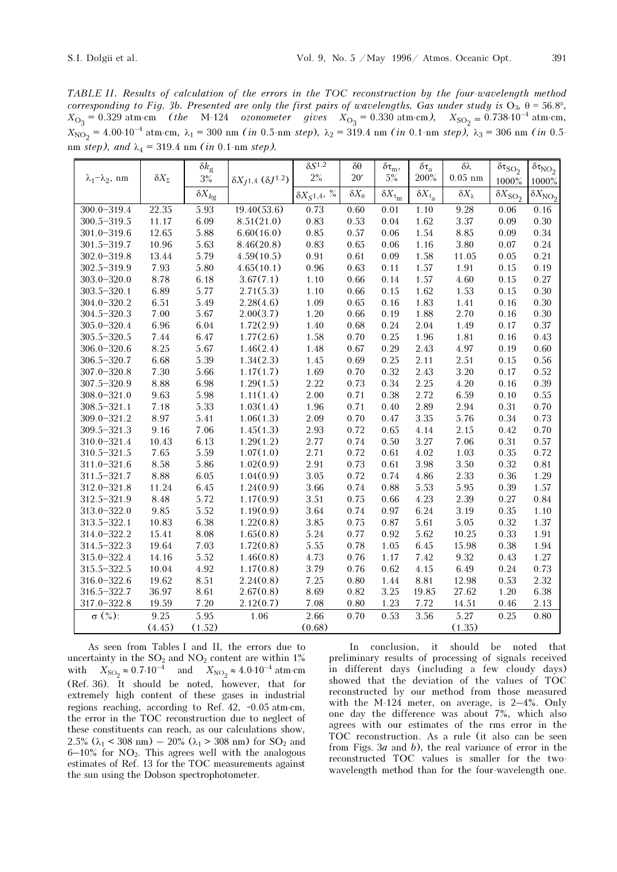TABLE II. Results of calculation of the errors in the TOC reconstruction by the four-wavelength method corresponding to Fig. 3b. Presented are only the first pairs of wavelengths. Gas under study is  $O_3$ ,  $\theta = 56.8^\circ$ ,  $X_{\text{O}_3} = 0.329$  atm⋅cm (the M-124 ozonometer gives  $X_{\text{O}_3} = 0.330$  atm⋅cm),  $X_{\text{SO}_2} = 0.738 \cdot 10^{-4}$  atm⋅cm,  $X_{\text{NO}_2} = 4.00 \cdot 10^{-4} \text{ atm} \cdot \text{cm}, \ \lambda_1 = 300 \text{ nm} \ (in \ 0.5 \text{-nm step}), \ \lambda_2 = 319.4 \text{ nm} \ (in \ 0.1 \text{-nm step}) \ \lambda_3 = 306 \text{ nm} \ (in \ 0.5 \text{-nm step})$ nm step), and  $\lambda_4 = 319.4$  nm (in 0.1-nm step).

|                              |                     | $\delta k_{\rm g}$        |                                           | $\delta S^{1.2}$                  | $\delta\theta$      | $\delta\tau_m,$                         | $\delta \tau_a$           | $\delta\lambda$      | $\delta\tau_{\rm SO_2}$  | $\delta \tau_{NO_2}$  |
|------------------------------|---------------------|---------------------------|-------------------------------------------|-----------------------------------|---------------------|-----------------------------------------|---------------------------|----------------------|--------------------------|-----------------------|
| $\lambda_1 - \lambda_2$ , nm | $\delta X_{\Sigma}$ | $3\%$                     | $\delta X_{J^{1,4}}$ ( $\delta J^{1.2}$ ) | 2%                                | 20'                 | $5\%$                                   | 200%                      | $0.05$ nm            | 1000%                    | $1000\%$              |
|                              |                     | $\overline{\delta}X_{kg}$ |                                           | $\delta X_S$ 1,4, $\overline{\%}$ | $\delta X_{\theta}$ | $\overline{\delta X}_{\tau_\mathrm{m}}$ | $\delta X_{\tau_{\rm a}}$ | $\delta X_{\lambda}$ | $\delta X_{\text{SO}_2}$ | $\delta X_{\rm NO_2}$ |
| $300.0 - 319.4$              | 22.35               | 5.93                      | 19.40(53.6)                               | 0.73                              | 0.60                | 0.01                                    | 1.10                      | 9.28                 | 0.06                     | 0.16                  |
| $300.5 - 319.5$              | 11.17               | 6.09                      | 8.51(21.0)                                | 0.83                              | 0.53                | 0.04                                    | 1.62                      | 3.37                 | 0.09                     | 0.30                  |
| $301.0 - 319.6$              | 12.65               | 5.88                      | 6.60(16.0)                                | 0.85                              | 0.57                | 0.06                                    | 1.54                      | 8.85                 | 0.09                     | 0.34                  |
| 301.5-319.7                  | 10.96               | 5.63                      | 8.46(20.8)                                | 0.83                              | 0.65                | 0.06                                    | 1.16                      | 3.80                 | 0.07                     | 0.24                  |
| $302.0 - 319.8$              | 13.44               | 5.79                      | 4.59(10.5)                                | 0.91                              | 0.61                | 0.09                                    | 1.58                      | 11.05                | 0.05                     | 0.21                  |
| $302.5 - 319.9$              | 7.93                | 5.80                      | 4.65(10.1)                                | 0.96                              | 0.63                | 0.11                                    | 1.57                      | 1.91                 | 0.15                     | 0.19                  |
| $303.0 - 320.0$              | 8.78                | 6.18                      | 3.67(7.1)                                 | 1.10                              | 0.66                | 0.14                                    | 1.57                      | 4.60                 | 0.15                     | 0.27                  |
| $303.5 - 320.1$              | 6.89                | 5.77                      | 2.71(5.3)                                 | 1.10                              | 0.66                | 0.15                                    | 1.62                      | 1.53                 | 0.15                     | 0.30                  |
| $304.0 - 320.2$              | 6.51                | 5.49                      | 2.28(4.6)                                 | 1.09                              | 0.65                | 0.16                                    | 1.83                      | 1.41                 | 0.16                     | 0.30                  |
| 304.5-320.3                  | 7.00                | 5.67                      | 2.00(3.7)                                 | 1.20                              | 0.66                | 0.19                                    | 1.88                      | 2.70                 | 0.16                     | 0.30                  |
| $305.0 - 320.4$              | 6.96                | 6.04                      | 1.72(2.9)                                 | 1.40                              | 0.68                | 0.24                                    | 2.04                      | 1.49                 | 0.17                     | 0.37                  |
| 305.5-320.5                  | 7.44                | 6.47                      | 1.77(2.6)                                 | 1.58                              | 0.70                | 0.25                                    | 1.96                      | 1.81                 | 0.16                     | 0.43                  |
| $306.0 - 320.6$              | 8.25                | 5.67                      | 1.46(2.4)                                 | 1.48                              | 0.67                | 0.29                                    | 2.43                      | 4.97                 | 0.19                     | 0.60                  |
| $306.5 - 320.7$              | 6.68                | 5.39                      | 1.34(2.3)                                 | 1.45                              | 0.69                | 0.25                                    | 2.11                      | 2.51                 | 0.15                     | 0.56                  |
| $307.0 - 320.8$              | 7.30                | 5.66                      | 1.17(1.7)                                 | 1.69                              | 0.70                | 0.32                                    | 2.43                      | 3.20                 | 0.17                     | 0.52                  |
| 307.5-320.9                  | 8.88                | 6.98                      | 1.29(1.5)                                 | 2.22                              | 0.73                | 0.34                                    | 2.25                      | $4.20\,$             | 0.16                     | 0.39                  |
| $308.0 - 321.0$              | 9.63                | 5.98                      | 1.11(1.4)                                 | 2.00                              | 0.71                | 0.38                                    | 2.72                      | 6.59                 | 0.10                     | 0.55                  |
| $308.5 - 321.1$              | 7.18                | 5.33                      | 1.03(1.4)                                 | 1.96                              | 0.71                | 0.40                                    | 2.89                      | 2.94                 | 0.31                     | 0.70                  |
| 309.0-321.2                  | 8.97                | 5.41                      | 1.06(1.3)                                 | 2.09                              | 0.70                | 0.47                                    | 3.35                      | 5.76                 | 0.34                     | 0.73                  |
| $309.5 - 321.3$              | 9.16                | 7.06                      | 1.45(1.3)                                 | 2.93                              | 0.72                | 0.65                                    | 4.14                      | 2.15                 | 0.42                     | 0.70                  |
| 310.0-321.4                  | 10.43               | 6.13                      | 1.29(1.2)                                 | 2.77                              | 0.74                | 0.50                                    | 3.27                      | 7.06                 | 0.31                     | 0.57                  |
| $310.5 - 321.5$              | 7.65                | 5.59                      | 1.07(1.0)                                 | 2.71                              | 0.72                | 0.61                                    | 4.02                      | 1.03                 | 0.35                     | 0.72                  |
| $311.0 - 321.6$              | 8.58                | 5.86                      | 1.02(0.9)                                 | 2.91                              | 0.73                | 0.61                                    | 3.98                      | 3.50                 | 0.32                     | 0.81                  |
| $311.5 - 321.7$              | 8.88                | 6.05                      | 1.04(0.9)                                 | 3.05                              | 0.72                | 0.74                                    | $4.86\,$                  | 2.33                 | 0.36                     | 1.29                  |
| $312.0 - 321.8$              | 11.24               | 6.45                      | 1.24(0.9)                                 | 3.66                              | 0.74                | 0.88                                    | 5.53                      | 5.95                 | 0.39                     | 1.57                  |
| 312.5-321.9                  | 8.48                | 5.72                      | 1.17(0.9)                                 | 3.51                              | 0.75                | 0.66                                    | 4.23                      | 2.39                 | 0.27                     | 0.84                  |
| 313.0-322.0                  | 9.85                | 5.52                      | 1.19(0.9)                                 | 3.64                              | 0.74                | 0.97                                    | 6.24                      | 3.19                 | 0.35                     | 1.10                  |
| $313.5 - 322.1$              | 10.83               | 6.38                      | 1.22(0.8)                                 | 3.85                              | 0.75                | 0.87                                    | 5.61                      | 5.05                 | 0.32                     | 1.37                  |
| 314.0-322.2                  | 15.41               | 8.08                      | 1.65(0.8)                                 | 5.24                              | 0.77                | 0.92                                    | 5.62                      | 10.25                | 0.33                     | 1.91                  |
| 314.5-322.3                  | 19.64               | 7.03                      | 1.72(0.8)                                 | 5.55                              | 0.78                | $1.05\,$                                | 6.45                      | 15.98                | 0.38                     | 1.94                  |
| 315.0-322.4                  | 14.16               | 5.52                      | 1.46(0.8)                                 | 4.73                              | 0.76                | 1.17                                    | 7.42                      | 9.32                 | 0.43                     | 1.27                  |
| 315.5-322.5                  | 10.04               | 4.92                      | 1.17(0.8)                                 | 3.79                              | 0.76                | 0.62                                    | 4.15                      | 6.49                 | 0.24                     | 0.73                  |
| $316.0 - 322.6$              | 19.62               | 8.51                      | 2.24(0.8)                                 | 7.25                              | 0.80                | 1.44                                    | 8.81                      | 12.98                | 0.53                     | 2.32                  |
| 316.5-322.7                  | 36.97               | 8.61                      | 2.67(0.8)                                 | 8.69                              | 0.82                | 3.25                                    | 19.85                     | 27.62                | 1.20                     | 6.38                  |
| 317.0-322.8                  | 19.59               | 7.20                      | 2.12(0.7)                                 | 7.08                              | 0.80                | 1.23                                    | 7.72                      | 14.51                | 0.46                     | 2.13                  |
| $\sigma$ (%):                | 9.25                | 5.95                      | 1.06                                      | 2.66                              | 0.70                | 0.53                                    | 3.56                      | 5.27                 | 0.25                     | 0.80                  |
|                              | (4.45)              | (1.52)                    |                                           | (0.68)                            |                     |                                         |                           | (1.35)               |                          |                       |

As seen from Tables I and II, the errors due to uncertainty in the  $SO_2$  and  $NO_2$  content are within 1% with  $X_{\text{SO}_2} \approx 0.7 \cdot 10^{-4}$  and  $X_{\text{NO}_2} \approx 4.0 \cdot 10^{-4}$  atm⋅cm (Ref. 36). It should be noted, however, that for extremely high content of these gases in industrial regions reaching, according to Ref. 42, ~0.05 atm⋅cm, the error in the TOC reconstruction due to neglect of these constituents can reach, as our calculations show, 2.5%  $(\lambda_1 < 308 \text{ nm}) - 20\%$   $(\lambda_1 > 308 \text{ nm})$  for  $SO_2$  and  $6-10\%$  for NO<sub>2</sub>. This agrees well with the analogous  $6-10\%$  for NO<sub>2</sub>. This agrees well with the analogous estimates of Ref. 13 for the TOC measurements against the sun using the Dobson spectrophotometer.

In conclusion, it should be noted that preliminary results of processing of signals received in different days (including a few cloudy days) showed that the deviation of the values of TOC reconstructed by our method from those measured with the M-124 meter, on average, is 2–4%. Only one day the difference was about 7%, which also agrees with our estimates of the rms error in the TOC reconstruction. As a rule (it also can be seen from Figs. 3*a* and  $b$ ), the real variance of error in the reconstructed TOC values is smaller for the twowavelength method than for the four-wavelength one.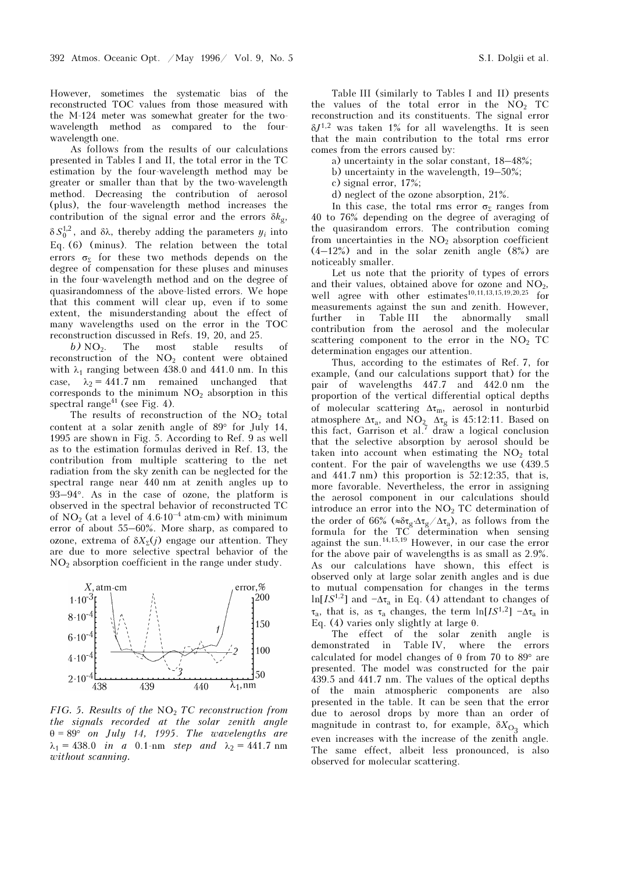However, sometimes the systematic bias of the reconstructed TOC values from those measured with the M-124 meter was somewhat greater for the twowavelength method as compared to the fourwavelength one.

As follows from the results of our calculations presented in Tables I and II, the total error in the TC estimation by the four-wavelength method may be greater or smaller than that by the two-wavelength method. Decreasing the contribution of aerosol (plus), the four-wavelength method increases the contribution of the signal error and the errors  $\delta k_{g}$ ,  $\delta S_0^{1,2}$ , and δλ, thereby adding the parameters  $y_i$  into Eq. (6) (minus). The relation between the total errors  $\sigma_{\Sigma}$  for these two methods depends on the degree of compensation for these pluses and minuses in the four-wavelength method and on the degree of quasirandomness of the above-listed errors. We hope that this comment will clear up, even if to some extent, the misunderstanding about the effect of many wavelengths used on the error in the TOC reconstruction discussed in Refs. 19, 20, and 25.

 $b) NO<sub>2</sub>$ . The most stable results of reconstruction of the  $NO<sub>2</sub>$  content were obtained with  $\lambda_1$  ranging between 438.0 and 441.0 nm. In this case,  $\lambda_2 = 441.7$  nm remained unchanged that<br>corresponds to the minimum NO<sub>2</sub> absorption in this corresponds to the minimum  $NO<sub>2</sub>$  absorption in this spectral range<sup> $41$ </sup> (see Fig. 4).

The results of reconstruction of the  $NO<sub>2</sub>$  total content at a solar zenith angle of 89° for July 14, 1995 are shown in Fig. 5. According to Ref. 9 as well as to the estimation formulas derived in Ref. 13, the contribution from multiple scattering to the net radiation from the sky zenith can be neglected for the spectral range near 440 nm at zenith angles up to 93–94°. As in the case of ozone, the platform is observed in the spectral behavior of reconstructed TC of NO<sub>2</sub> (at a level of  $4.6 \cdot 10^{-4}$  atm⋅cm) with minimum error of about 55–60%. More sharp, as compared to ozone, extrema of  $\delta X_{\bar{y}}(i)$  engage our attention. They are due to more selective spectral behavior of the NO2 absorption coefficient in the range under study.



FIG. 5. Results of the  $NO<sub>2</sub> TC$  reconstruction from the signals recorded at the solar zenith angle  $\theta = 89^{\circ}$  on July 14, 1995. The wavelengths are  $\lambda_1 = 438.0$  in a 0.1-nm step and  $\lambda_2 = 441.7$  nm<br>zyithout scanning without scanning.

Table III (similarly to Tables I and II) presents the values of the total error in the  $NO<sub>2</sub>$  TC reconstruction and its constituents. The signal error  $\delta J^{1,2}$  was taken 1% for all wavelengths. It is seen that the main contribution to the total rms error comes from the errors caused by:

a) uncertainty in the solar constant, 18–48%;

- b) uncertainty in the wavelength, 19–50%;
- c) signal error, 17%;
- d) neglect of the ozone absorption, 21%.

In this case, the total rms error  $\sigma_{\Sigma}$  ranges from 40 to 76% depending on the degree of averaging of the quasirandom errors. The contribution coming from uncertainties in the  $NO<sub>2</sub>$  absorption coefficient  $(4-12%)$  and in the solar zenith angle  $(8%)$  are noticeably smaller.

Let us note that the priority of types of errors and their values, obtained above for ozone and  $NO<sub>2</sub>$ , well agree with other estimates<sup>10,11,13,15,19,20,25</sup> for measurements against the sun and zenith. However, further in Table III the abnormally small contribution from the aerosol and the molecular scattering component to the error in the  $NO<sub>2</sub>$  TC determination engages our attention.

Thus, according to the estimates of Ref. 7, for example, (and our calculations support that) for the pair of wavelengths 447.7 and 442.0 nm the proportion of the vertical differential optical depths of molecular scattering  $\Delta \tau_m$ , aerosol in nonturbid<br>atmosphere  $\Delta \tau$  and NO,  $\Delta \tau$  is 45:12:11. Based on atmosphere  $\Delta \tau_a$ , and NO<sub>2</sub>  $\Delta \tau_g$  is 45:12:11. Based on this fact, Garrison et al.<sup>7</sup> draw a logical conclusion that the selective absorption by aerosol should be taken into account when estimating the  $NO<sub>2</sub>$  total content. For the pair of wavelengths we use (439.5 and 441.7 nm) this proportion is 52:12:35, that is, more favorable. Nevertheless, the error in assigning the aerosol component in our calculations should introduce an error into the  $NO<sub>2</sub> TC$  determination of the aerosof component in our calculations should<br>introduce an error into the NO<sub>2</sub> TC determination of<br>the order of 66% ( $\approx \delta \tau_g / \Delta \tau_g / \Delta \tau_a$ ), as follows from the<br>formula for the TC determination when sensing formula for the TC determination when sensing against the sun.<sup>14,15,19</sup> However, in our case the error for the above pair of wavelengths is as small as 2.9%. As our calculations have shown, this effect is observed only at large solar zenith angles and is due to mutual compensation for changes in the terms ln[IS<sup>1,2</sup>] and  $-\Delta\tau_a$  in Eq. (4) attendant to changes of  $\tau_a$ , that is, as  $\tau_a$  changes, the term  $\ln[IS^{1,2}]$   $-\Delta\tau_a$  in Eq. (4) verjes only slightly at large  $\theta$ Eq. (4) varies only slightly at large θ.

The effect of the solar zenith angle is demonstrated in Table IV, where the errors calculated for model changes of θ from 70 to 89° are presented. The model was constructed for the pair 439.5 and 441.7 nm. The values of the optical depths of the main atmospheric components are also presented in the table. It can be seen that the error due to aerosol drops by more than an order of magnitude in contrast to, for example,  $\delta X_{\text{O}_3}$  which even increases with the increase of the zenith angle. The same effect, albeit less pronounced, is also observed for molecular scattering.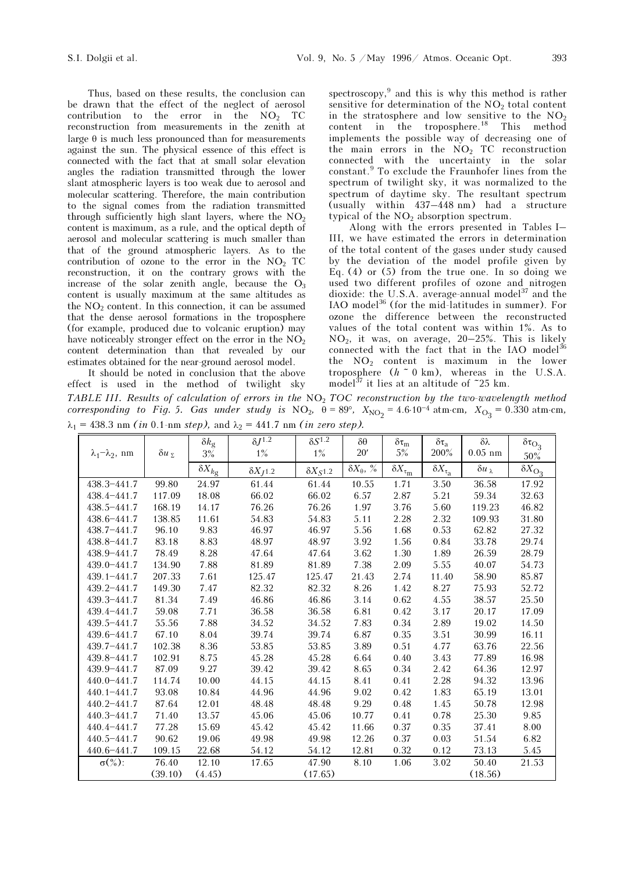Thus, based on these results, the conclusion can be drawn that the effect of the neglect of aerosol contribution to the error in the  $NO<sub>2</sub>$  TC reconstruction from measurements in the zenith at large  $\theta$  is much less pronounced than for measurements against the sun. The physical essence of this effect is connected with the fact that at small solar elevation angles the radiation transmitted through the lower slant atmospheric layers is too weak due to aerosol and molecular scattering. Therefore, the main contribution to the signal comes from the radiation transmitted through sufficiently high slant layers, where the  $NO<sub>2</sub>$ content is maximum, as a rule, and the optical depth of aerosol and molecular scattering is much smaller than that of the ground atmospheric layers. As to the contribution of ozone to the error in the  $NO<sub>2</sub>$  TC reconstruction, it on the contrary grows with the increase of the solar zenith angle, because the  $O_3$ content is usually maximum at the same altitudes as the  $NO<sub>2</sub>$  content. In this connection, it can be assumed that the dense aerosol formations in the troposphere (for example, produced due to volcanic eruption) may have noticeably stronger effect on the error in the  $NO<sub>2</sub>$ content determination than that revealed by our estimates obtained for the near-ground aerosol model. It should be noted in conclusion that the above

effect is used in the method of twilight sky

spectroscopy,<sup>9</sup> and this is why this method is rather sensitive for determination of the  $NO<sub>2</sub>$  total content in the stratosphere and low sensitive to the  $NO<sub>2</sub>$ content in the troposphere.<sup>18</sup> This method implements the possible way of decreasing one of the main errors in the  $NO<sub>2</sub> TC$  reconstruction connected with the uncertainty in the solar constant.<sup>9</sup> To exclude the Fraunhofer lines from the spectrum of twilight sky, it was normalized to the spectrum of daytime sky. The resultant spectrum (usually within 437–448 nm) had a structure typical of the  $NO<sub>2</sub>$  absorption spectrum.

Along with the errors presented in Tables I– III, we have estimated the errors in determination of the total content of the gases under study caused by the deviation of the model profile given by Eq.  $(4)$  or  $(5)$  from the true one. In so doing we used two different profiles of ozone and nitrogen dioxide: the U.S.A. average-annual model<sup>37</sup> and the IAO model<sup>36</sup> (for the mid-latitudes in summer). For ozone the difference between the reconstructed values of the total content was within 1%. As to NO2, it was, on average, 20–25%. This is likely connected with the fact that in the IAO model $^{36}$ the NO2 content is maximum in the lower troposphere  $(h \,\tilde{\,} \, 0 \, \text{km})$ , whereas in the U.S.A. model<sup>37</sup> it lies at an altitude of  $\tilde{c}$  25 km.

TABLE III. Results of calculation of errors in the  $NO<sub>2</sub> TOC$  reconstruction by the two-wavelength method corresponding to Fig. 5. Gas under study is NO<sub>2</sub>,  $\theta = 89^{\circ}$ ,  $X_{\text{NO}_2} = 4.6 \cdot 10^{-4}$  atm⋅cm,  $X_{\text{O}_3} = 0.330$  atm⋅cm,<br>  $\theta = 438.3$  pm (in 0.1-pm step) and  $\theta = 441.7$  pm (in zero step)  $\lambda_1 = 438.3$  nm (in 0.1-nm step), and  $\lambda_2 = 441.7$  nm (in zero step).

|                              |                     | $\delta k_{\rm g}$ | $\delta J^{1.2}$   | $\delta S^{1.2}$   | $\delta\theta$          | $\delta \tau_m$                              | $\delta\tau_a$            | $\delta \lambda$     | $\delta\tau_{\rm O_3}$      |
|------------------------------|---------------------|--------------------|--------------------|--------------------|-------------------------|----------------------------------------------|---------------------------|----------------------|-----------------------------|
| $\lambda_1 - \lambda_2$ , nm | $\delta u_{\Sigma}$ | $3\%$              | $1\%$              | $1\%$              | 20'                     | 5%                                           | 200%                      | $0.05$ nm            | $50\%$                      |
|                              |                     | $\delta X_{kg}$    | $\delta X_{J}$ 1.2 | $\delta X_{S}$ 1.2 | $\delta X_\theta,\; \%$ | $\overline{\delta X}_{\tau_{\underline{m}}}$ | $\delta X_{\tau_{\rm a}}$ | $\delta u_{\lambda}$ | $\overline{\delta X}_{O_3}$ |
| $438.3 - 441.7$              | 99.80               | 24.97              | 61.44              | 61.44              | 10.55                   | 1.71                                         | 3.50                      | 36.58                | 17.92                       |
| $438.4 - 441.7$              | 117.09              | 18.08              | 66.02              | 66.02              | 6.57                    | $2.87\,$                                     | 5.21                      | 59.34                | 32.63                       |
| $438.5 - 441.7$              | 168.19              | 14.17              | 76.26              | 76.26              | 1.97                    | 3.76                                         | 5.60                      | 119.23               | 46.82                       |
| $438.6 - 441.7$              | 138.85              | 11.61              | 54.83              | 54.83              | 5.11                    | 2.28                                         | 2.32                      | 109.93               | 31.80                       |
| $438.7 - 441.7$              | 96.10               | 9.83               | 46.97              | 46.97              | 5.56                    | 1.68                                         | 0.53                      | 62.82                | 27.32                       |
| $438.8 - 441.7$              | 83.18               | 8.83               | 48.97              | 48.97              | 3.92                    | 1.56                                         | 0.84                      | 33.78                | 29.74                       |
| $438.9 - 441.7$              | 78.49               | 8.28               | 47.64              | 47.64              | 3.62                    | 1.30                                         | 1.89                      | 26.59                | 28.79                       |
| $439.0 - 441.7$              | 134.90              | 7.88               | 81.89              | 81.89              | 7.38                    | 2.09                                         | 5.55                      | 40.07                | 54.73                       |
| $439.1 - 441.7$              | 207.33              | 7.61               | 125.47             | 125.47             | 21.43                   | 2.74                                         | 11.40                     | 58.90                | 85.87                       |
| $439.2 - 441.7$              | 149.30              | 7.47               | 82.32              | 82.32              | 8.26                    | 1.42                                         | 8.27                      | 75.93                | 52.72                       |
| $439.3 - 441.7$              | 81.34               | 7.49               | 46.86              | 46.86              | 3.14                    | 0.62                                         | 4.55                      | 38.57                | 25.50                       |
| 439.4-441.7                  | 59.08               | 7.71               | 36.58              | 36.58              | 6.81                    | 0.42                                         | 3.17                      | 20.17                | 17.09                       |
| 439.5-441.7                  | 55.56               | 7.88               | 34.52              | 34.52              | 7.83                    | 0.34                                         | 2.89                      | 19.02                | 14.50                       |
| 439.6-441.7                  | 67.10               | 8.04               | 39.74              | 39.74              | 6.87                    | 0.35                                         | 3.51                      | 30.99                | 16.11                       |
| $439.7 - 441.7$              | 102.38              | 8.36               | 53.85              | 53.85              | 3.89                    | 0.51                                         | 4.77                      | 63.76                | 22.56                       |
| $439.8 - 441.7$              | 102.91              | 8.75               | 45.28              | 45.28              | 6.64                    | 0.40                                         | 3.43                      | 77.89                | 16.98                       |
| $439.9 - 441.7$              | 87.09               | 9.27               | 39.42              | 39.42              | 8.65                    | 0.34                                         | 2.42                      | 64.36                | 12.97                       |
| $440.0 - 441.7$              | 114.74              | 10.00              | 44.15              | 44.15              | 8.41                    | 0.41                                         | 2.28                      | 94.32                | 13.96                       |
| $440.1 - 441.7$              | 93.08               | 10.84              | 44.96              | 44.96              | 9.02                    | 0.42                                         | 1.83                      | 65.19                | 13.01                       |
| $440.2 - 441.7$              | 87.64               | 12.01              | 48.48              | 48.48              | 9.29                    | 0.48                                         | 1.45                      | 50.78                | 12.98                       |
| 440.3-441.7                  | 71.40               | 13.57              | 45.06              | 45.06              | 10.77                   | 0.41                                         | 0.78                      | 25.30                | 9.85                        |
| $440.4 - 441.7$              | 77.28               | 15.69              | 45.42              | 45.42              | 11.66                   | 0.37                                         | 0.35                      | 37.41                | 8.00                        |
| $440.5 - 441.7$              | 90.62               | 19.06              | 49.98              | 49.98              | 12.26                   | 0.37                                         | 0.03                      | 51.54                | 6.82                        |
| 440.6-441.7                  | 109.15              | 22.68              | 54.12              | 54.12              | 12.81                   | 0.32                                         | 0.12                      | 73.13                | 5.45                        |
| $\sigma(\%)$ :               | 76.40               | 12.10              | 17.65              | 47.90              | 8.10                    | 1.06                                         | 3.02                      | 50.40                | 21.53                       |
|                              | (39.10)             | (4.45)             |                    | (17.65)            |                         |                                              |                           | (18.56)              |                             |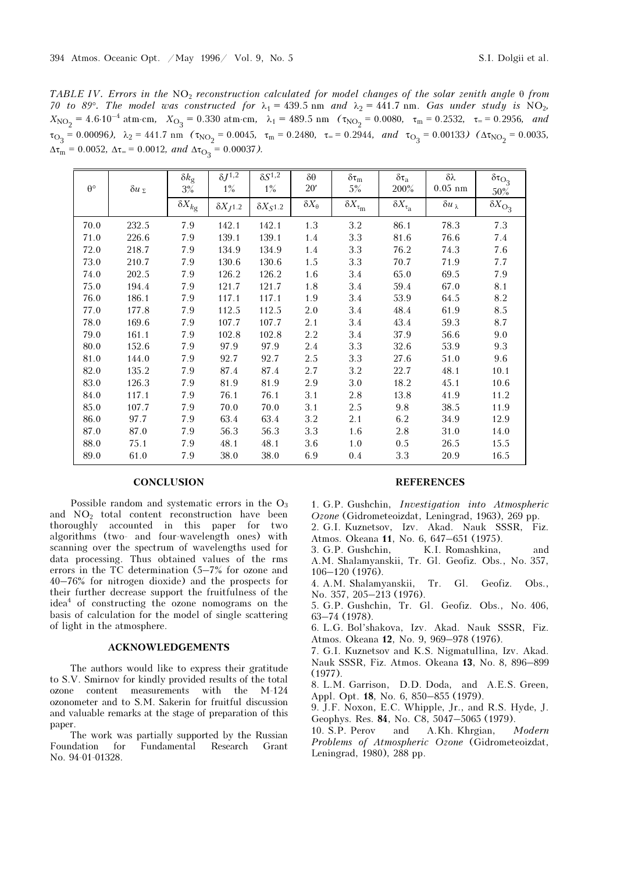TABLE IV. Errors in the  $NO<sub>2</sub>$  reconstruction calculated for model changes of the solar zenith angle  $\theta$  from 70 to 89°. The model was constructed for  $\lambda_1 = 439.5$  nm and  $\lambda_2 = 441.7$  nm. Gas under study is NO<sub>2</sub>,  $X_{\text{NO}_2} = 4.6 \cdot 10^{-4} \text{ atm} \cdot \text{cm}, \quad X_{\text{O}_3} = 0.330 \text{ atm} \cdot \text{cm}, \quad \lambda_1 = 489.5 \text{ nm} \quad (\tau_{\text{NO}_2} = 0.0080, \quad \tau_{\text{m}} = 0.2532, \quad \tau_{\text{m}} = 0.2956, \quad \text{and} \quad \tau_{\text{NO}_3} = 0.00006, \quad \lambda_1 = 444.7 \text{ nm}.$  $\tau_{\text{O}_3}$  = 0.00096),  $\lambda_2$  = 441.7 nm ( $\tau_{\text{NO}_2}$  = 0.0045,  $\tau_{\text{m}}$  = 0.2480,  $\tau_{\text{m}}$  = 0.2944, and  $\tau_{\text{O}_3}$  = 0.00133) ( $\Delta \tau_{\text{NO}_2}$  = 0.0035,  $\Delta \tau_{\text{m}}$  = 0.00132, and  $\Delta \tau_{\text{N}}$  = 0.00132, and  $\$  $\Delta \tau_{\text{m}} = 0.0052$ ,  $\Delta \tau_{\text{m}} = 0.0012$ , and  $\Delta \tau_{\text{O}_3} = 0.00037$ ).

| $\theta^{\circ}$ |                     | $\delta k_{\rm g}$ | $\delta J^{1,2}$   | $\delta S^{1,2}$<br>$1\%$ | $\delta \theta$     | $\delta\tau_m$            | $\delta\tau_a$            | $\delta \lambda$ | $\delta\tau_{\rm O_3}$  |
|------------------|---------------------|--------------------|--------------------|---------------------------|---------------------|---------------------------|---------------------------|------------------|-------------------------|
|                  | $\delta u_{\Sigma}$ | 3%                 | $1\%$              |                           | 20'                 | 5%                        | 200%                      | $0.05$ nm        | 50%                     |
|                  |                     | $\delta X_{kg}$    | $\delta X_{J}$ 1.2 | $\delta X_{S}$ 1.2        | $\delta X_{\theta}$ | $\delta X_{\tau_{\rm m}}$ | $\delta X_{\tau_{\rm a}}$ | δ $uλ$           | $\delta X_{\text{O}_3}$ |
| 70.0             | 232.5               | 7.9                | 142.1              | 142.1                     | 1.3                 | 3.2                       | 86.1                      | 78.3             | 7.3                     |
| 71.0             | 226.6               | 7.9                | 139.1              | 139.1                     | 1.4                 | 3.3                       | 81.6                      | 76.6             | 7.4                     |
| 72.0             | 218.7               | 7.9                | 134.9              | 134.9                     | 1.4                 | 3.3                       | 76.2                      | 74.3             | 7.6                     |
| 73.0             | 210.7               | 7.9                | 130.6              | 130.6                     | 1.5                 | 3.3                       | 70.7                      | 71.9             | 7.7                     |
| 74.0             | 202.5               | 7.9                | 126.2              | 126.2                     | 1.6                 | 3.4                       | 65.0                      | 69.5             | 7.9                     |
| 75.0             | 194.4               | 7.9                | 121.7              | 121.7                     | 1.8                 | 3.4                       | 59.4                      | 67.0             | 8.1                     |
| 76.0             | 186.1               | 7.9                | 117.1              | 117.1                     | 1.9                 | 3.4                       | 53.9                      | 64.5             | 8.2                     |
| 77.0             | 177.8               | 7.9                | 112.5              | 112.5                     | 2.0                 | 3.4                       | 48.4                      | 61.9             | 8.5                     |
| 78.0             | 169.6               | 7.9                | 107.7              | 107.7                     | 2.1                 | 3.4                       | 43.4                      | 59.3             | 8.7                     |
| 79.0             | 161.1               | 7.9                | 102.8              | 102.8                     | 2.2                 | 3.4                       | 37.9                      | 56.6             | 9.0                     |
| 80.0             | 152.6               | 7.9                | 97.9               | 97.9                      | 2.4                 | 3.3                       | 32.6                      | 53.9             | 9.3                     |
| 81.0             | 144.0               | 7.9                | 92.7               | 92.7                      | 2.5                 | 3.3                       | 27.6                      | 51.0             | 9.6                     |
| 82.0             | 135.2               | 7.9                | 87.4               | 87.4                      | 2.7                 | 3.2                       | 22.7                      | 48.1             | 10.1                    |
| 83.0             | 126.3               | 7.9                | 81.9               | 81.9                      | 2.9                 | 3.0                       | 18.2                      | 45.1             | 10.6                    |
| 84.0             | 117.1               | 7.9                | 76.1               | 76.1                      | 3.1                 | 2.8                       | 13.8                      | 41.9             | 11.2                    |
| 85.0             | 107.7               | 7.9                | 70.0               | 70.0                      | 3.1                 | 2.5                       | 9.8                       | 38.5             | 11.9                    |
| 86.0             | 97.7                | 7.9                | 63.4               | 63.4                      | 3.2                 | 2.1                       | 6.2                       | 34.9             | 12.9                    |
| 87.0             | 87.0                | 7.9                | 56.3               | 56.3                      | 3.3                 | 1.6                       | 2.8                       | 31.0             | 14.0                    |
| 88.0             | 75.1                | 7.9                | 48.1               | 48.1                      | 3.6                 | 1.0                       | 0.5                       | 26.5             | 15.5                    |
| 89.0             | 61.0                | 7.9                | 38.0               | 38.0                      | 6.9                 | $0.4\,$                   | 3.3                       | 20.9             | 16.5                    |

#### **CONCLUSION**

Possible random and systematic errors in the  $O_3$ and  $NO<sub>2</sub>$  total content reconstruction have been thoroughly accounted in this paper for two algorithms (two- and four-wavelength ones) with scanning over the spectrum of wavelengths used for data processing. Thus obtained values of the rms errors in the TC determination (5–7% for ozone and 40–76% for nitrogen dioxide) and the prospects for their further decrease support the fruitfulness of the idea<sup>4</sup> of constructing the ozone nomograms on the basis of calculation for the model of single scattering of light in the atmosphere.

#### ACKNOWLEDGEMENTS

The authors would like to express their gratitude to S.V. Smirnov for kindly provided results of the total ozone content measurements with the M-124 ozonometer and to S.M. Sakerin for fruitful discussion and valuable remarks at the stage of preparation of this paper.

The work was partially supported by the Russian Foundation for Fundamental Research Grant No. 94-01-01328.

#### REFERENCES

1. G.P. Gushchin, Investigation into Atmospheric Ozone (Gidrometeoizdat, Leningrad, 1963), 269 pp. 2. G.I. Kuznetsov, Izv. Akad. Nauk SSSR, Fiz.

Atmos. Okeana 11, No. 6, 647–651 (1975).

3. G.P. Gushchin, K.I. Romashkina, and A.M. Shalamyanskii, Tr. Gl. Geofiz. Obs., No. 357, 106–120 (1976).

4. A.M. Shalamyanskii, Tr. Gl. Geofiz. Obs., No. 357, 205–213 (1976).

5. G.P. Gushchin, Tr. Gl. Geofiz. Obs., No. 406, 63–74 (1978).

6. L.G. Bol'shakova, Izv. Akad. Nauk SSSR, Fiz. Atmos. Okeana 12, No. 9, 969–978 (1976).

7. G.I. Kuznetsov and K.S. Nigmatullina, Izv. Akad. Nauk SSSR, Fiz. Atmos. Okeana 13, No. 8, 896–899 (1977).

8. L.M. Garrison, D.D. Doda, and A.E.S. Green, Appl. Opt. 18, No. 6, 850–855 (1979).

9. J.F. Noxon, E.C. Whipple, Jr., and R.S. Hyde, J. Geophys. Res. 84, No. C8, 5047–5065 (1979).

10. S.P. Perov and A.Kh. Khrgian, Modern Problems of Atmospheric Ozone (Gidrometeoizdat, Leningrad, 1980), 288 pp.